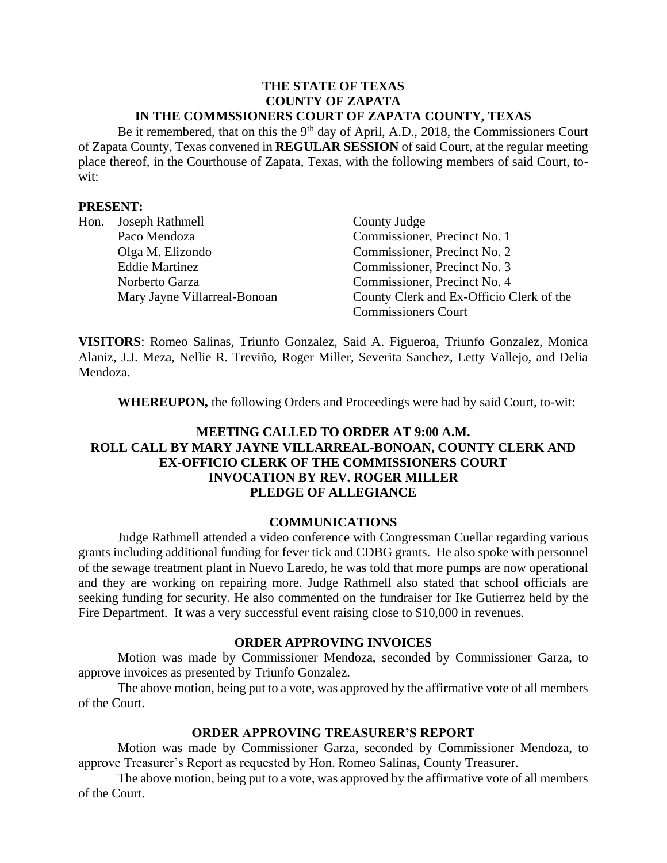#### **THE STATE OF TEXAS COUNTY OF ZAPATA IN THE COMMSSIONERS COURT OF ZAPATA COUNTY, TEXAS**

Be it remembered, that on this the 9<sup>th</sup> day of April, A.D., 2018, the Commissioners Court of Zapata County, Texas convened in **REGULAR SESSION** of said Court, at the regular meeting place thereof, in the Courthouse of Zapata, Texas, with the following members of said Court, towit:

### **PRESENT:**

| Hon. | Joseph Rathmell              | County Judge                             |
|------|------------------------------|------------------------------------------|
|      | Paco Mendoza                 | Commissioner, Precinct No. 1             |
|      | Olga M. Elizondo             | Commissioner, Precinct No. 2             |
|      | <b>Eddie Martinez</b>        | Commissioner, Precinct No. 3             |
|      | Norberto Garza               | Commissioner, Precinct No. 4             |
|      | Mary Jayne Villarreal-Bonoan | County Clerk and Ex-Officio Clerk of the |
|      |                              | <b>Commissioners Court</b>               |

**VISITORS**: Romeo Salinas, Triunfo Gonzalez, Said A. Figueroa, Triunfo Gonzalez, Monica Alaniz, J.J. Meza, Nellie R. Treviño, Roger Miller, Severita Sanchez, Letty Vallejo, and Delia Mendoza.

**WHEREUPON,** the following Orders and Proceedings were had by said Court, to-wit:

# **MEETING CALLED TO ORDER AT 9:00 A.M. ROLL CALL BY MARY JAYNE VILLARREAL-BONOAN, COUNTY CLERK AND EX-OFFICIO CLERK OF THE COMMISSIONERS COURT INVOCATION BY REV. ROGER MILLER PLEDGE OF ALLEGIANCE**

#### **COMMUNICATIONS**

Judge Rathmell attended a video conference with Congressman Cuellar regarding various grants including additional funding for fever tick and CDBG grants. He also spoke with personnel of the sewage treatment plant in Nuevo Laredo, he was told that more pumps are now operational and they are working on repairing more. Judge Rathmell also stated that school officials are seeking funding for security. He also commented on the fundraiser for Ike Gutierrez held by the Fire Department. It was a very successful event raising close to \$10,000 in revenues.

#### **ORDER APPROVING INVOICES**

Motion was made by Commissioner Mendoza, seconded by Commissioner Garza, to approve invoices as presented by Triunfo Gonzalez.

The above motion, being put to a vote, was approved by the affirmative vote of all members of the Court.

#### **ORDER APPROVING TREASURER'S REPORT**

Motion was made by Commissioner Garza, seconded by Commissioner Mendoza, to approve Treasurer's Report as requested by Hon. Romeo Salinas, County Treasurer.

The above motion, being put to a vote, was approved by the affirmative vote of all members of the Court.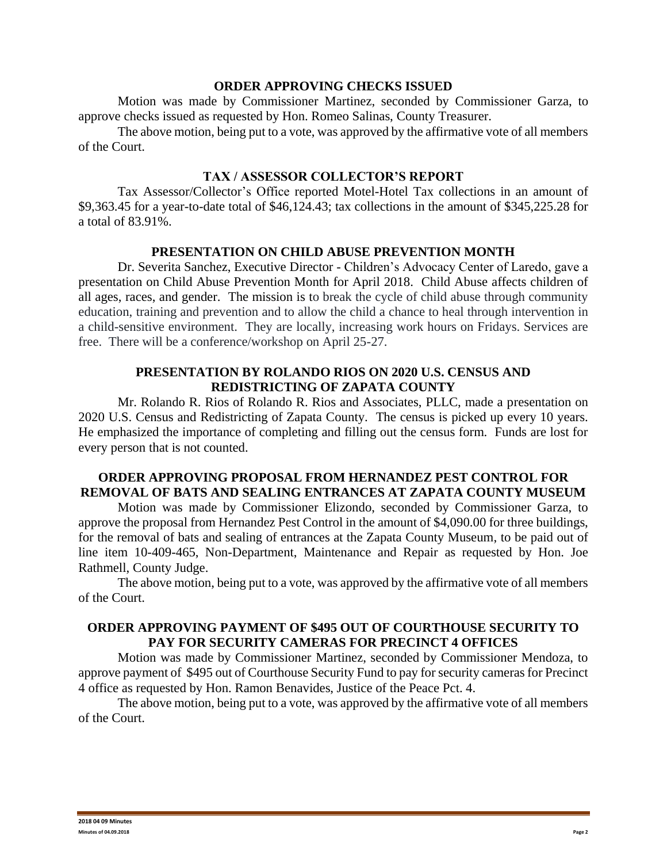### **ORDER APPROVING CHECKS ISSUED**

Motion was made by Commissioner Martinez, seconded by Commissioner Garza, to approve checks issued as requested by Hon. Romeo Salinas, County Treasurer.

The above motion, being put to a vote, was approved by the affirmative vote of all members of the Court.

### **TAX / ASSESSOR COLLECTOR'S REPORT**

Tax Assessor/Collector's Office reported Motel-Hotel Tax collections in an amount of \$9,363.45 for a year-to-date total of \$46,124.43; tax collections in the amount of \$345,225.28 for a total of 83.91%.

### **PRESENTATION ON CHILD ABUSE PREVENTION MONTH**

Dr. Severita Sanchez, Executive Director - Children's Advocacy Center of Laredo, gave a presentation on Child Abuse Prevention Month for April 2018. Child Abuse affects children of all ages, races, and gender. The mission is to break the cycle of child abuse through community education, training and prevention and to allow the child a chance to heal through intervention in a child-sensitive environment. They are locally, increasing work hours on Fridays. Services are free. There will be a conference/workshop on April 25-27.

### **PRESENTATION BY ROLANDO RIOS ON 2020 U.S. CENSUS AND REDISTRICTING OF ZAPATA COUNTY**

Mr. Rolando R. Rios of Rolando R. Rios and Associates, PLLC, made a presentation on 2020 U.S. Census and Redistricting of Zapata County. The census is picked up every 10 years. He emphasized the importance of completing and filling out the census form. Funds are lost for every person that is not counted.

# **ORDER APPROVING PROPOSAL FROM HERNANDEZ PEST CONTROL FOR REMOVAL OF BATS AND SEALING ENTRANCES AT ZAPATA COUNTY MUSEUM**

Motion was made by Commissioner Elizondo, seconded by Commissioner Garza, to approve the proposal from Hernandez Pest Control in the amount of \$4,090.00 for three buildings, for the removal of bats and sealing of entrances at the Zapata County Museum, to be paid out of line item 10-409-465, Non-Department, Maintenance and Repair as requested by Hon. Joe Rathmell, County Judge.

The above motion, being put to a vote, was approved by the affirmative vote of all members of the Court.

# **ORDER APPROVING PAYMENT OF \$495 OUT OF COURTHOUSE SECURITY TO PAY FOR SECURITY CAMERAS FOR PRECINCT 4 OFFICES**

Motion was made by Commissioner Martinez, seconded by Commissioner Mendoza, to approve payment of \$495 out of Courthouse Security Fund to pay for security cameras for Precinct 4 office as requested by Hon. Ramon Benavides, Justice of the Peace Pct. 4.

The above motion, being put to a vote, was approved by the affirmative vote of all members of the Court.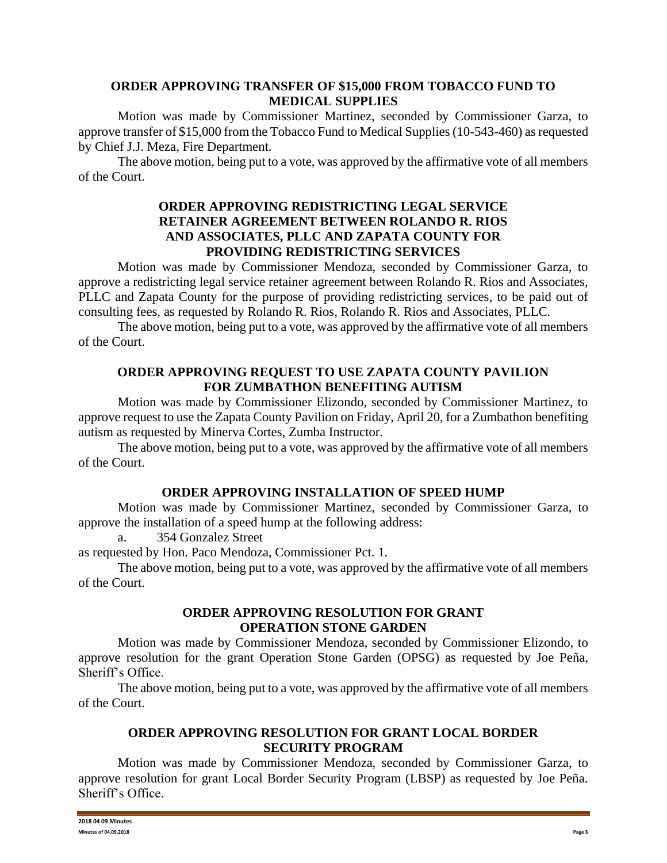### **ORDER APPROVING TRANSFER OF \$15,000 FROM TOBACCO FUND TO MEDICAL SUPPLIES**

Motion was made by Commissioner Martinez, seconded by Commissioner Garza, to approve transfer of \$15,000 from the Tobacco Fund to Medical Supplies (10-543-460) as requested by Chief J.J. Meza, Fire Department.

The above motion, being put to a vote, was approved by the affirmative vote of all members of the Court.

### **ORDER APPROVING REDISTRICTING LEGAL SERVICE RETAINER AGREEMENT BETWEEN ROLANDO R. RIOS AND ASSOCIATES, PLLC AND ZAPATA COUNTY FOR PROVIDING REDISTRICTING SERVICES**

Motion was made by Commissioner Mendoza, seconded by Commissioner Garza, to approve a redistricting legal service retainer agreement between Rolando R. Rios and Associates, PLLC and Zapata County for the purpose of providing redistricting services, to be paid out of consulting fees, as requested by Rolando R. Rios, Rolando R. Rios and Associates, PLLC.

The above motion, being put to a vote, was approved by the affirmative vote of all members of the Court.

### **ORDER APPROVING REQUEST TO USE ZAPATA COUNTY PAVILION FOR ZUMBATHON BENEFITING AUTISM**

Motion was made by Commissioner Elizondo, seconded by Commissioner Martinez, to approve request to use the Zapata County Pavilion on Friday, April 20, for a Zumbathon benefiting autism as requested by Minerva Cortes, Zumba Instructor.

The above motion, being put to a vote, was approved by the affirmative vote of all members of the Court.

# **ORDER APPROVING INSTALLATION OF SPEED HUMP**

Motion was made by Commissioner Martinez, seconded by Commissioner Garza, to approve the installation of a speed hump at the following address:

a. 354 Gonzalez Street

as requested by Hon. Paco Mendoza, Commissioner Pct. 1.

The above motion, being put to a vote, was approved by the affirmative vote of all members of the Court.

#### **ORDER APPROVING RESOLUTION FOR GRANT OPERATION STONE GARDEN**

Motion was made by Commissioner Mendoza, seconded by Commissioner Elizondo, to approve resolution for the grant Operation Stone Garden (OPSG) as requested by Joe Peña, Sheriff's Office.

The above motion, being put to a vote, was approved by the affirmative vote of all members of the Court.

# **ORDER APPROVING RESOLUTION FOR GRANT LOCAL BORDER SECURITY PROGRAM**

Motion was made by Commissioner Mendoza, seconded by Commissioner Garza, to approve resolution for grant Local Border Security Program (LBSP) as requested by Joe Peña. Sheriff's Office.

| 2018 04 09 Minutes    |        |
|-----------------------|--------|
| Minutes of 04.09.2018 | Page 3 |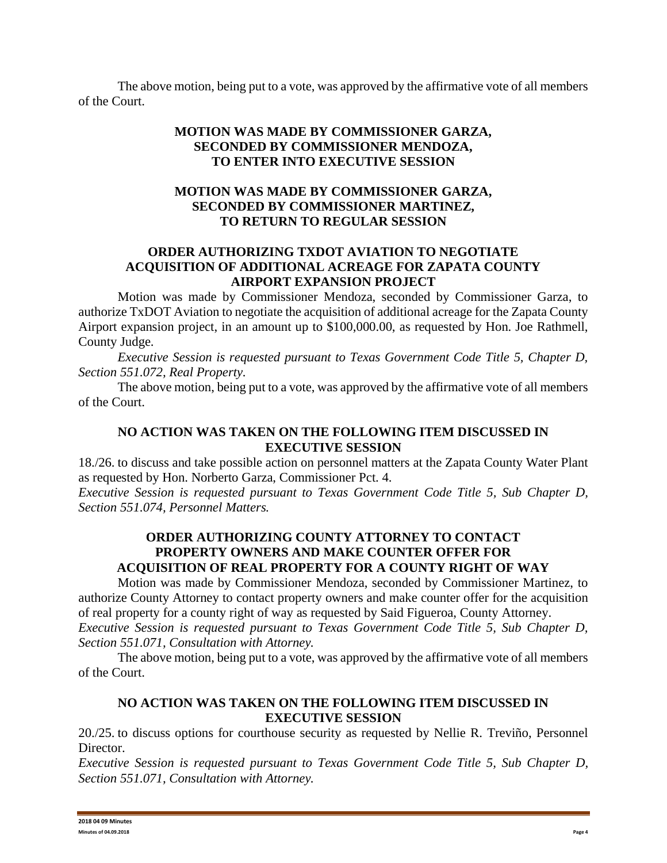The above motion, being put to a vote, was approved by the affirmative vote of all members of the Court.

# **MOTION WAS MADE BY COMMISSIONER GARZA, SECONDED BY COMMISSIONER MENDOZA, TO ENTER INTO EXECUTIVE SESSION**

### **MOTION WAS MADE BY COMMISSIONER GARZA, SECONDED BY COMMISSIONER MARTINEZ, TO RETURN TO REGULAR SESSION**

# **ORDER AUTHORIZING TXDOT AVIATION TO NEGOTIATE ACQUISITION OF ADDITIONAL ACREAGE FOR ZAPATA COUNTY AIRPORT EXPANSION PROJECT**

Motion was made by Commissioner Mendoza, seconded by Commissioner Garza, to authorize TxDOT Aviation to negotiate the acquisition of additional acreage for the Zapata County Airport expansion project, in an amount up to \$100,000.00, as requested by Hon. Joe Rathmell, County Judge.

*Executive Session is requested pursuant to Texas Government Code Title 5, Chapter D, Section 551.072, Real Property.*

The above motion, being put to a vote, was approved by the affirmative vote of all members of the Court.

### **NO ACTION WAS TAKEN ON THE FOLLOWING ITEM DISCUSSED IN EXECUTIVE SESSION**

18./26. to discuss and take possible action on personnel matters at the Zapata County Water Plant as requested by Hon. Norberto Garza, Commissioner Pct. 4.

*Executive Session is requested pursuant to Texas Government Code Title 5, Sub Chapter D, Section 551.074, Personnel Matters.*

### **ORDER AUTHORIZING COUNTY ATTORNEY TO CONTACT PROPERTY OWNERS AND MAKE COUNTER OFFER FOR ACQUISITION OF REAL PROPERTY FOR A COUNTY RIGHT OF WAY**

Motion was made by Commissioner Mendoza, seconded by Commissioner Martinez, to authorize County Attorney to contact property owners and make counter offer for the acquisition of real property for a county right of way as requested by Said Figueroa, County Attorney. *Executive Session is requested pursuant to Texas Government Code Title 5, Sub Chapter D, Section 551.071, Consultation with Attorney.*

The above motion, being put to a vote, was approved by the affirmative vote of all members of the Court.

# **NO ACTION WAS TAKEN ON THE FOLLOWING ITEM DISCUSSED IN EXECUTIVE SESSION**

20./25. to discuss options for courthouse security as requested by Nellie R. Treviño, Personnel Director.

*Executive Session is requested pursuant to Texas Government Code Title 5, Sub Chapter D, Section 551.071, Consultation with Attorney.*